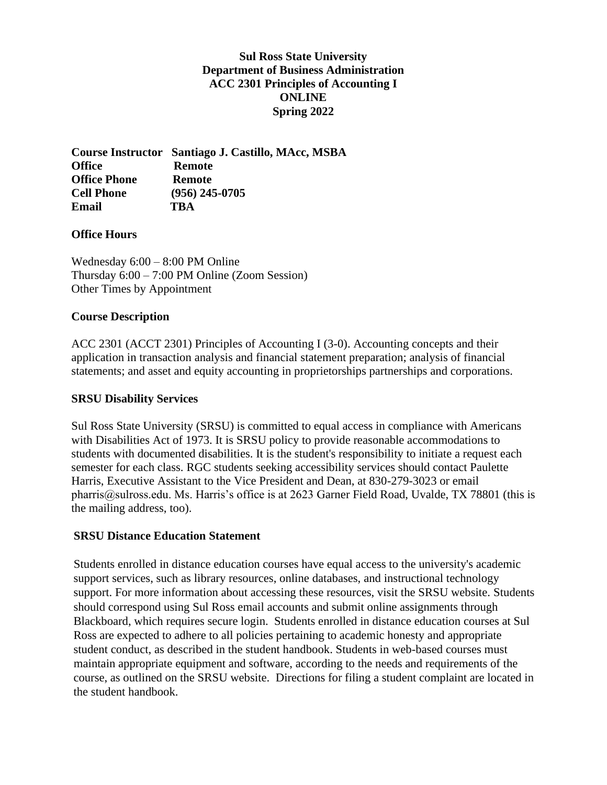## **Sul Ross State University Department of Business Administration ACC 2301 Principles of Accounting I ONLINE Spring 2022**

**Course Instructor Santiago J. Castillo, MAcc, MSBA Office Remote Office Phone Remote Cell Phone (956) 245-0705 Email TBA**

### **Office Hours**

Wednesday 6:00 – 8:00 PM Online Thursday 6:00 – 7:00 PM Online (Zoom Session) Other Times by Appointment

#### **Course Description**

ACC 2301 (ACCT 2301) Principles of Accounting I (3-0). Accounting concepts and their application in transaction analysis and financial statement preparation; analysis of financial statements; and asset and equity accounting in proprietorships partnerships and corporations.

#### **SRSU Disability Services**

Sul Ross State University (SRSU) is committed to equal access in compliance with Americans with Disabilities Act of 1973. It is SRSU policy to provide reasonable accommodations to students with documented disabilities. It is the student's responsibility to initiate a request each semester for each class. RGC students seeking accessibility services should contact Paulette Harris, Executive Assistant to the Vice President and Dean, at 830-279-3023 or email pharris@sulross.edu. Ms. Harris's office is at 2623 Garner Field Road, Uvalde, TX 78801 (this is the mailing address, too).

#### **SRSU Distance Education Statement**

Students enrolled in distance education courses have equal access to the university's academic support services, such as library resources, online databases, and instructional technology support. For more information about accessing these resources, visit the SRSU website. Students should correspond using Sul Ross email accounts and submit online assignments through Blackboard, which requires secure login. Students enrolled in distance education courses at Sul Ross are expected to adhere to all policies pertaining to academic honesty and appropriate student conduct, as described in the student handbook. Students in web-based courses must maintain appropriate equipment and software, according to the needs and requirements of the course, as outlined on the SRSU website. Directions for filing a student complaint are located in the student handbook.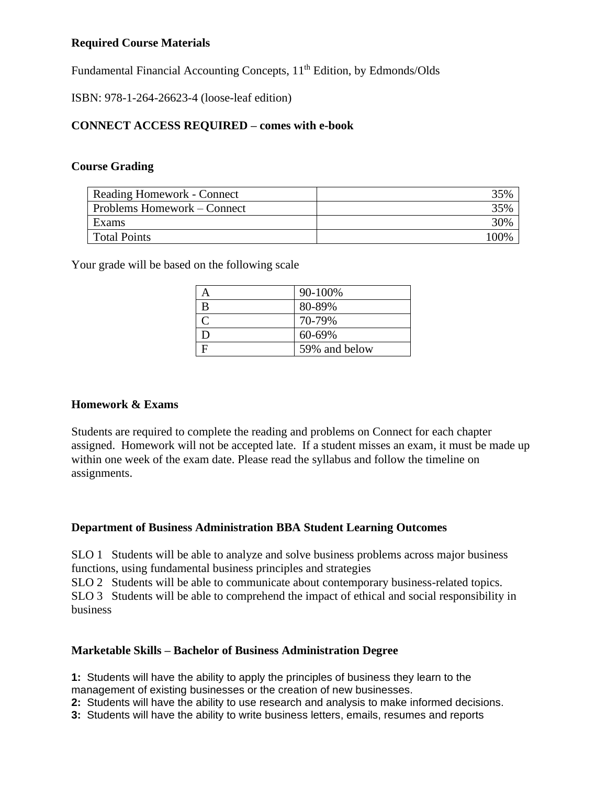## **Required Course Materials**

Fundamental Financial Accounting Concepts, 11<sup>th</sup> Edition, by Edmonds/Olds

ISBN: 978-1-264-26623-4 (loose-leaf edition)

# **CONNECT ACCESS REQUIRED – comes with e-book**

#### **Course Grading**

| Reading Homework - Connect  | 35%  |
|-----------------------------|------|
| Problems Homework – Connect | 35%  |
| Exams                       | 30%  |
| <b>Total Points</b>         | 100% |

Your grade will be based on the following scale

|     | 90-100%       |
|-----|---------------|
| B   | 80-89%        |
|     | 70-79%        |
| ו ו | 60-69%        |
|     | 59% and below |

#### **Homework & Exams**

Students are required to complete the reading and problems on Connect for each chapter assigned. Homework will not be accepted late. If a student misses an exam, it must be made up within one week of the exam date. Please read the syllabus and follow the timeline on assignments.

# **Department of Business Administration BBA Student Learning Outcomes**

SLO 1 Students will be able to analyze and solve business problems across major business functions, using fundamental business principles and strategies

SLO 2 Students will be able to communicate about contemporary business-related topics. SLO 3 Students will be able to comprehend the impact of ethical and social responsibility in business

# **Marketable Skills – Bachelor of Business Administration Degree**

**1:** Students will have the ability to apply the principles of business they learn to the management of existing businesses or the creation of new businesses.

**2:** Students will have the ability to use research and analysis to make informed decisions.

**3:** Students will have the ability to write business letters, emails, resumes and reports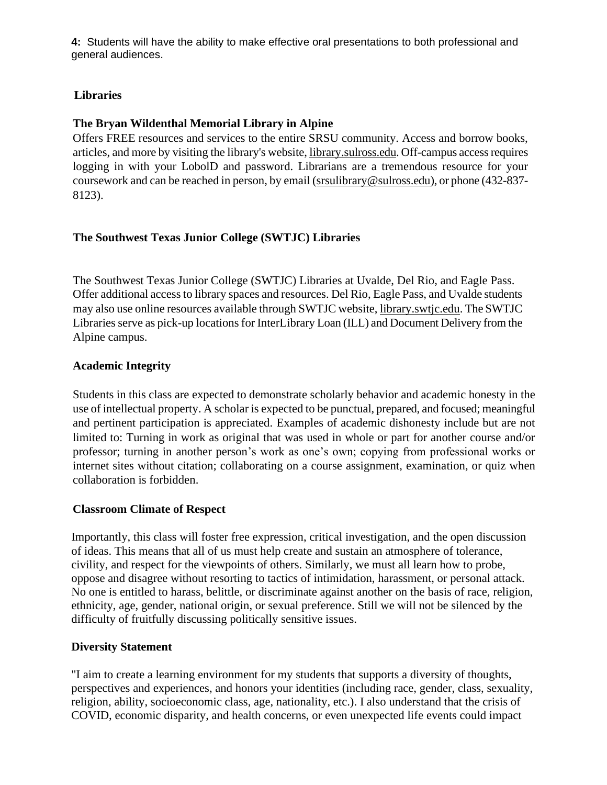**4:** Students will have the ability to make effective oral presentations to both professional and general audiences.

# **Libraries**

# **The Bryan Wildenthal Memorial Library in Alpine**

Offers FREE resources and services to the entire SRSU community. Access and borrow books, articles, and more by visiting the library's website, library.sulross.edu. Off-campus access requires logging in with your LobolD and password. Librarians are a tremendous resource for your coursework and can be reached in person, by email (srsulibrary@sulross.edu), or phone (432-837- 8123).

# **The Southwest Texas Junior College (SWTJC) Libraries**

The Southwest Texas Junior College (SWTJC) Libraries at Uvalde, Del Rio, and Eagle Pass. Offer additional access to library spaces and resources. Del Rio, Eagle Pass, and Uvalde students may also use online resources available through SWTJC website, library.swtjc.edu. The SWTJC Libraries serve as pick-up locations for InterLibrary Loan (ILL) and Document Delivery from the Alpine campus.

# **Academic Integrity**

Students in this class are expected to demonstrate scholarly behavior and academic honesty in the use of intellectual property. A scholar is expected to be punctual, prepared, and focused; meaningful and pertinent participation is appreciated. Examples of academic dishonesty include but are not limited to: Turning in work as original that was used in whole or part for another course and/or professor; turning in another person's work as one's own; copying from professional works or internet sites without citation; collaborating on a course assignment, examination, or quiz when collaboration is forbidden.

# **Classroom Climate of Respect**

Importantly, this class will foster free expression, critical investigation, and the open discussion of ideas. This means that all of us must help create and sustain an atmosphere of tolerance, civility, and respect for the viewpoints of others. Similarly, we must all learn how to probe, oppose and disagree without resorting to tactics of intimidation, harassment, or personal attack. No one is entitled to harass, belittle, or discriminate against another on the basis of race, religion, ethnicity, age, gender, national origin, or sexual preference. Still we will not be silenced by the difficulty of fruitfully discussing politically sensitive issues.

# **Diversity Statement**

"I aim to create a learning environment for my students that supports a diversity of thoughts, perspectives and experiences, and honors your identities (including race, gender, class, sexuality, religion, ability, socioeconomic class, age, nationality, etc.). I also understand that the crisis of COVID, economic disparity, and health concerns, or even unexpected life events could impact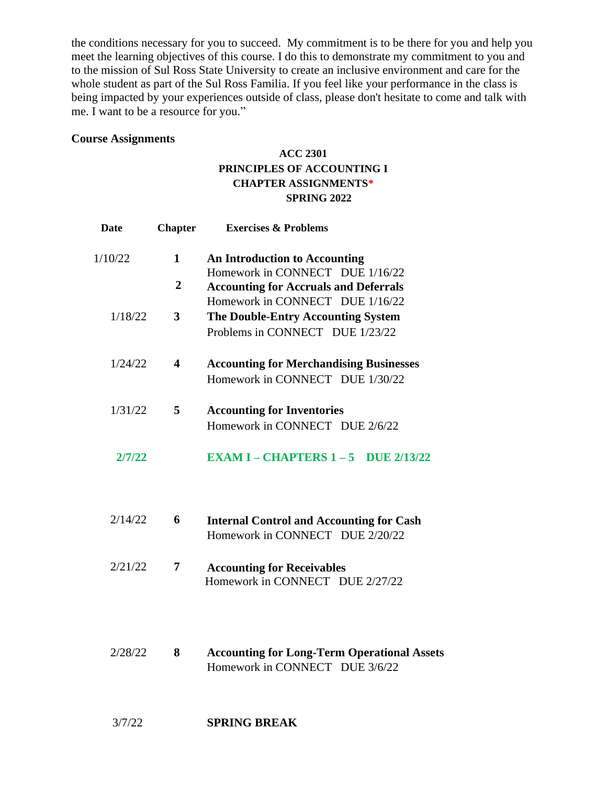the conditions necessary for you to succeed. My commitment is to be there for you and help you meet the learning objectives of this course. I do this to demonstrate my commitment to you and to the mission of Sul Ross State University to create an inclusive environment and care for the whole student as part of the Sul Ross Familia. If you feel like your performance in the class is being impacted by your experiences outside of class, please don't hesitate to come and talk with me. I want to be a resource for you."

#### **Course Assignments**

# **ACC 2301 PRINCIPLES OF ACCOUNTING I CHAPTER ASSIGNMENTS\* SPRING 2022**

| <b>Date</b> | <b>Chapter</b>   | <b>Exercises &amp; Problems</b>                                      |
|-------------|------------------|----------------------------------------------------------------------|
| 1/10/22     | 1                | <b>An Introduction to Accounting</b>                                 |
|             |                  | Homework in CONNECT DUE 1/16/22                                      |
|             | $\boldsymbol{2}$ | <b>Accounting for Accruals and Deferrals</b>                         |
|             |                  | Homework in CONNECT DUE 1/16/22                                      |
| 1/18/22     | 3                | <b>The Double-Entry Accounting System</b>                            |
|             |                  | Problems in CONNECT DUE 1/23/22                                      |
| 1/24/22     | 4                | <b>Accounting for Merchandising Businesses</b>                       |
|             |                  | Homework in CONNECT DUE 1/30/22                                      |
| 1/31/22     | 5                | <b>Accounting for Inventories</b>                                    |
|             |                  | Homework in CONNECT DUE 2/6/22                                       |
| 2/7/22      |                  | <b>EXAM I – CHAPTERS <math>1 - 5</math> DUE 2/13/22</b>              |
| 2/14/22     | 6                | <b>Internal Control and Accounting for Cash</b>                      |
|             |                  | Homework in CONNECT DUE 2/20/22                                      |
| 2/21/22     | 7                | <b>Accounting for Receivables</b><br>Homework in CONNECT DUE 2/27/22 |

2/28/22 **8 Accounting for Long-Term Operational Assets** Homework in CONNECT DUE 3/6/22

#### 3/7/22 **SPRING BREAK**